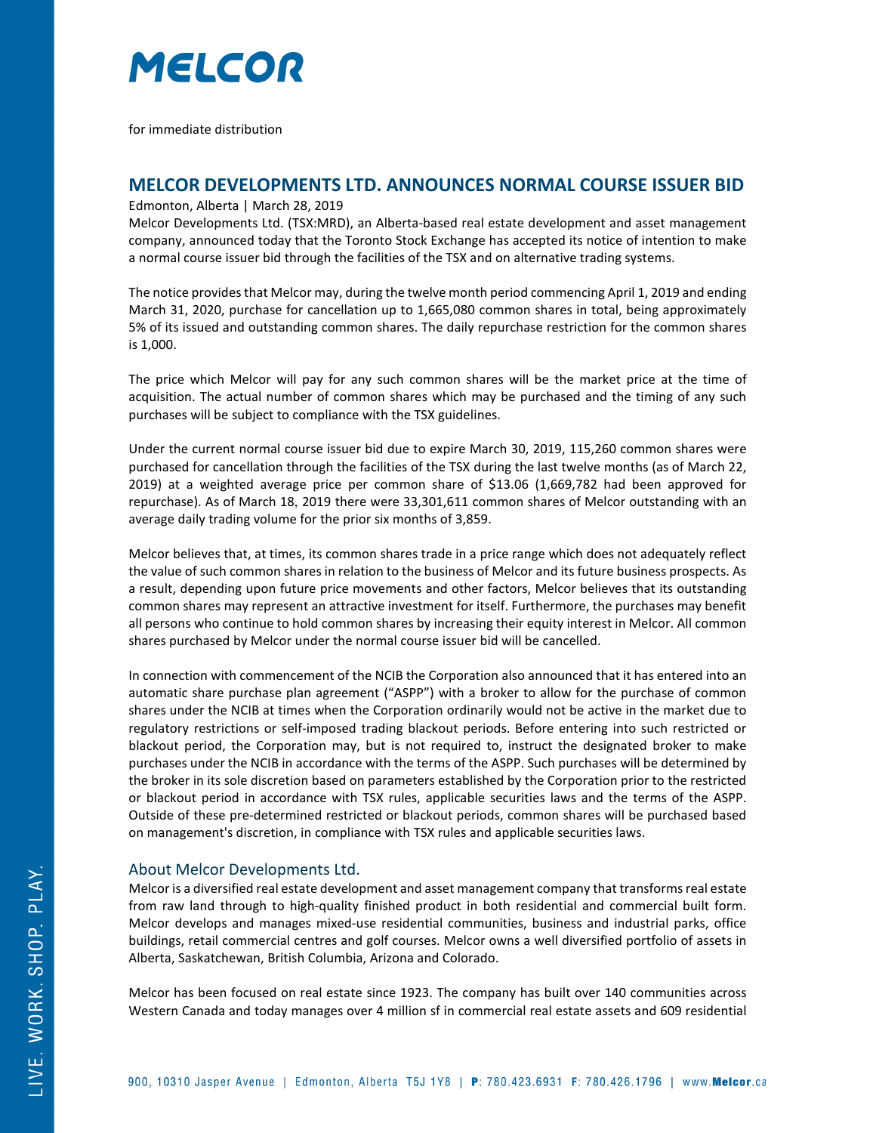

for immediate distribution

## **MELCOR DEVELOPMENTS LTD. ANNOUNCES NORMAL COURSE ISSUER BID**

Edmonton, Alberta | March 28, 2019

Melcor Developments Ltd. (TSX:MRD), an Alberta-based real estate development and asset management company, announced today that the Toronto Stock Exchange has accepted its notice of intention to make a normal course issuer bid through the facilities of the TSX and on alternative trading systems.

The notice provides that Melcor may, during the twelve month period commencing April 1, 2019 and ending March 31, 2020, purchase for cancellation up to 1,665,080 common shares in total, being approximately 5% of its issued and outstanding common shares. The daily repurchase restriction for the common shares is 1,000.

The price which Melcor will pay for any such common shares will be the market price at the time of acquisition. The actual number of common shares which may be purchased and the timing of any such purchases will be subject to compliance with the TSX guidelines.

Under the current normal course issuer bid due to expire March 30, 2019, 115,260 common shares were purchased for cancellation through the facilities of the TSX during the last twelve months (as of March 22, 2019) at a weighted average price per common share of \$13.06 (1,669,782 had been approved for repurchase). As of March 18, 2019 there were 33,301,611 common shares of Melcor outstanding with an average daily trading volume for the prior six months of 3,859.

Melcor believes that, at times, its common shares trade in a price range which does not adequately reflect the value of such common shares in relation to the business of Melcor and its future business prospects. As a result, depending upon future price movements and other factors, Melcor believes that its outstanding common shares may represent an attractive investment for itself. Furthermore, the purchases may benefit all persons who continue to hold common shares by increasing their equity interest in Melcor. All common shares purchased by Melcor under the normal course issuer bid will be cancelled.

In connection with commencement of the NCIB the Corporation also announced that it has entered into an automatic share purchase plan agreement ("ASPP") with a broker to allow for the purchase of common shares under the NCIB at times when the Corporation ordinarily would not be active in the market due to regulatory restrictions or self-imposed trading blackout periods. Before entering into such restricted or blackout period, the Corporation may, but is not required to, instruct the designated broker to make purchases under the NCIB in accordance with the terms of the ASPP. Such purchases will be determined by the broker in its sole discretion based on parameters established by the Corporation prior to the restricted or blackout period in accordance with TSX rules, applicable securities laws and the terms of the ASPP. Outside of these pre-determined restricted or blackout periods, common shares will be purchased based on management's discretion, in compliance with TSX rules and applicable securities laws.

## About Melcor Developments Ltd.

Melcor is a diversified real estate development and asset management company that transforms real estate from raw land through to high-quality finished product in both residential and commercial built form. Melcor develops and manages mixed-use residential communities, business and industrial parks, office buildings, retail commercial centres and golf courses. Melcor owns a well diversified portfolio of assets in Alberta, Saskatchewan, British Columbia, Arizona and Colorado.

Melcor has been focused on real estate since 1923. The company has built over 140 communities across Western Canada and today manages over 4 million sf in commercial real estate assets and 609 residential